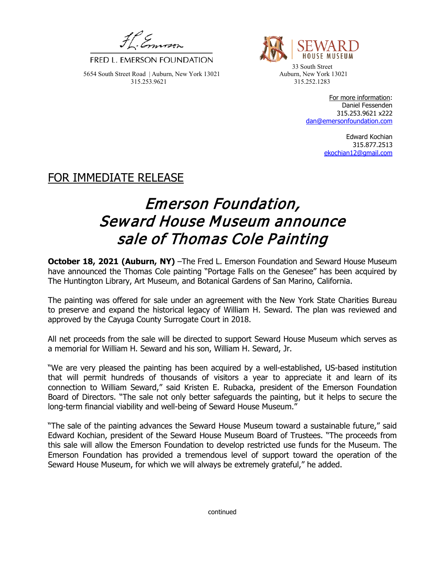FRED L. EMERSON FOUNDATION 33 South Street

5654 South Street Road | Auburn, New York 13021 Auburn, New York 13021 315.253.9621 315.252.1283



For more information: Daniel Fessenden 315.253.9621 x222 [dan@emersonfoundation.com](mailto:dan@emersonfoundation.com)

> Edward Kochian 315.877.2513 [ekochian12@gmail.com](mailto:ekochian12@gmail.com)

## FOR IMMEDIATE RELEASE

## Emerson Foundation, Seward House Museum announce sale of Thomas Cole Painting

**October 18, 2021 (Auburn, NY)** –The Fred L. Emerson Foundation and Seward House Museum have announced the Thomas Cole painting "Portage Falls on the Genesee" has been acquired by The Huntington Library, Art Museum, and Botanical Gardens of San Marino, California.

The painting was offered for sale under an agreement with the New York State Charities Bureau to preserve and expand the historical legacy of William H. Seward. The plan was reviewed and approved by the Cayuga County Surrogate Court in 2018.

All net proceeds from the sale will be directed to support Seward House Museum which serves as a memorial for William H. Seward and his son, William H. Seward, Jr.

"We are very pleased the painting has been acquired by a well-established, US-based institution that will permit hundreds of thousands of visitors a year to appreciate it and learn of its connection to William Seward," said Kristen E. Rubacka, president of the Emerson Foundation Board of Directors. "The sale not only better safeguards the painting, but it helps to secure the long-term financial viability and well-being of Seward House Museum."

"The sale of the painting advances the Seward House Museum toward a sustainable future," said Edward Kochian, president of the Seward House Museum Board of Trustees. "The proceeds from this sale will allow the Emerson Foundation to develop restricted use funds for the Museum. The Emerson Foundation has provided a tremendous level of support toward the operation of the Seward House Museum, for which we will always be extremely grateful," he added.